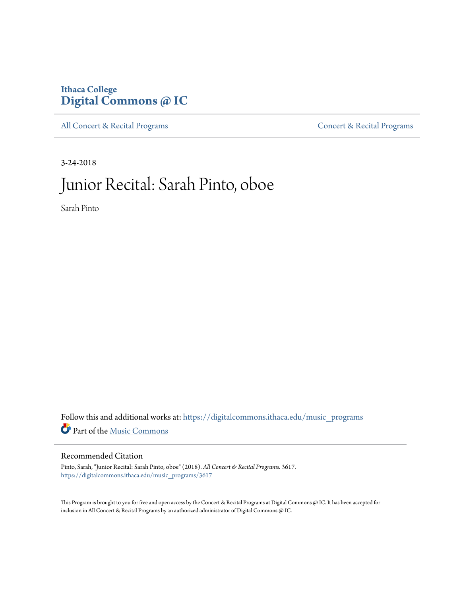# **Ithaca College [Digital Commons @ IC](https://digitalcommons.ithaca.edu?utm_source=digitalcommons.ithaca.edu%2Fmusic_programs%2F3617&utm_medium=PDF&utm_campaign=PDFCoverPages)**

[All Concert & Recital Programs](https://digitalcommons.ithaca.edu/music_programs?utm_source=digitalcommons.ithaca.edu%2Fmusic_programs%2F3617&utm_medium=PDF&utm_campaign=PDFCoverPages) **[Concert & Recital Programs](https://digitalcommons.ithaca.edu/som_programs?utm_source=digitalcommons.ithaca.edu%2Fmusic_programs%2F3617&utm_medium=PDF&utm_campaign=PDFCoverPages)** 

3-24-2018

# Junior Recital: Sarah Pinto, oboe

Sarah Pinto

Follow this and additional works at: [https://digitalcommons.ithaca.edu/music\\_programs](https://digitalcommons.ithaca.edu/music_programs?utm_source=digitalcommons.ithaca.edu%2Fmusic_programs%2F3617&utm_medium=PDF&utm_campaign=PDFCoverPages) Part of the [Music Commons](http://network.bepress.com/hgg/discipline/518?utm_source=digitalcommons.ithaca.edu%2Fmusic_programs%2F3617&utm_medium=PDF&utm_campaign=PDFCoverPages)

#### Recommended Citation

Pinto, Sarah, "Junior Recital: Sarah Pinto, oboe" (2018). *All Concert & Recital Programs*. 3617. [https://digitalcommons.ithaca.edu/music\\_programs/3617](https://digitalcommons.ithaca.edu/music_programs/3617?utm_source=digitalcommons.ithaca.edu%2Fmusic_programs%2F3617&utm_medium=PDF&utm_campaign=PDFCoverPages)

This Program is brought to you for free and open access by the Concert & Recital Programs at Digital Commons @ IC. It has been accepted for inclusion in All Concert & Recital Programs by an authorized administrator of Digital Commons @ IC.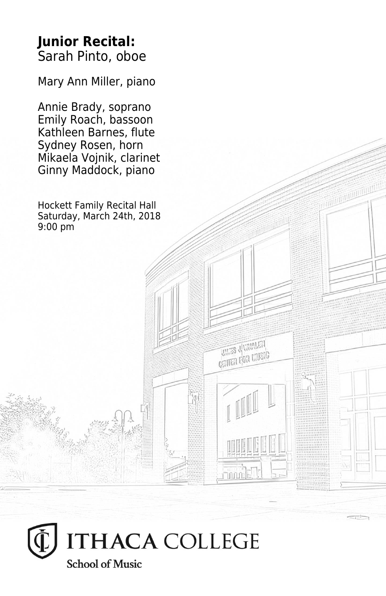### **Junior Recital:** Sarah Pinto, oboe

Mary Ann Miller, piano

Annie Brady, soprano Emily Roach, bassoon Kathleen Barnes, flute Sydney Rosen, horn Mikaela Vojnik, clarinet Ginny Maddock, piano

Hockett Family Recital Hall Saturday, March 24th, 2018 9:00 pm

**UNITED** JUNEAU **CRITER FOR LIVEIG** 

 $\min$ 

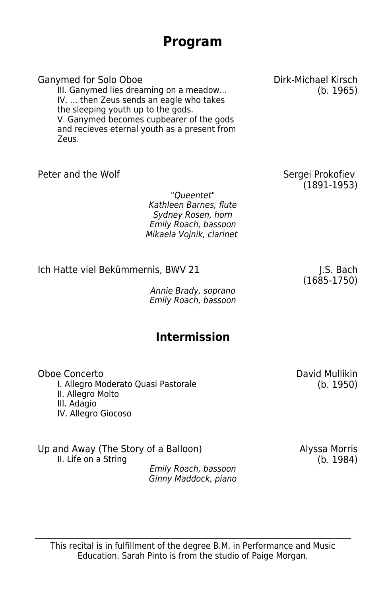### **Program**

Ganymed for Solo Oboe **Dirk-Michael Kirsch** 

III. Ganymed lies dreaming on a meadow... (b. 1965) IV. ... then Zeus sends an eagle who takes the sleeping youth up to the gods. V. Ganymed becomes cupbearer of the gods and recieves eternal youth as a present from Zeus.

Peter and the Wolf **Sergei Prokofiev Sergei Prokofiev** 

"Queentet" Kathleen Barnes, flute Sydney Rosen, horn Emily Roach, bassoon Mikaela Vojnik, clarinet

Ich Hatte viel Bekümmernis, BWV 21 J.S. Bach

Annie Brady, soprano Emily Roach, bassoon

#### **Intermission**

Oboe Concerto David Mullikin I. Allegro Moderato Quasi Pastorale II. Allegro Molto III. Adagio IV. Allegro Giocoso

Up and Away (The Story of a Balloon) <br>II. Life on a String (b. 1984) II. Life on a String

Emily Roach, bassoon Ginny Maddock, piano

(1685-1750)

(1891-1953)